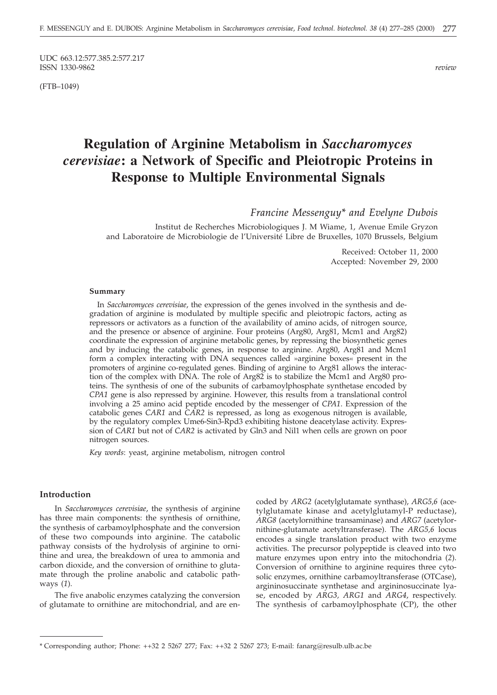UDC 663.12:577.385.2:577.217<br>ISSN 1330-9862 ISSN 1330-9862 *review*

(FTB–1049)

# **Regulation of Arginine Metabolism in** *Saccharomyces cerevisiae***: a Network of Specific and Pleiotropic Proteins in Response to Multiple Environmental Signals**

*Francine Messenguy\* and Evelyne Dubois*

Institut de Recherches Microbiologiques J. M Wiame, 1, Avenue Emile Gryzon and Laboratoire de Microbiologie de l'Université Libre de Bruxelles, 1070 Brussels, Belgium

> Received: October 11, 2000 Accepted: November 29, 2000

#### **Summary**

In *Saccharomyces cerevisiae*, the expression of the genes involved in the synthesis and degradation of arginine is modulated by multiple specific and pleiotropic factors, acting as repressors or activators as a function of the availability of amino acids, of nitrogen source, and the presence or absence of arginine. Four proteins (Arg80, Arg81, Mcm1 and Arg82) coordinate the expression of arginine metabolic genes, by repressing the biosynthetic genes and by inducing the catabolic genes, in response to arginine. Arg80, Arg81 and Mcm1 form a complex interacting with DNA sequences called »arginine boxes« present in the promoters of arginine co-regulated genes. Binding of arginine to Arg81 allows the interaction of the complex with DNA. The role of Arg82 is to stabilize the Mcm1 and Arg80 proteins. The synthesis of one of the subunits of carbamoylphosphate synthetase encoded by *CPA1* gene is also repressed by arginine. However, this results from a translational control involving a 25 amino acid peptide encoded by the messenger of *CPA1*. Expression of the catabolic genes *CAR1* and *CAR2* is repressed, as long as exogenous nitrogen is available, by the regulatory complex Ume6-Sin3-Rpd3 exhibiting histone deacetylase activity. Expression of *CAR1* but not of *CAR2* is activated by Gln3 and Nil1 when cells are grown on poor nitrogen sources.

*Key words*: yeast, arginine metabolism, nitrogen control

#### **Introduction**

In *Saccharomyces cerevisiae*, the synthesis of arginine has three main components: the synthesis of ornithine, the synthesis of carbamoylphosphate and the conversion of these two compounds into arginine. The catabolic pathway consists of the hydrolysis of arginine to ornithine and urea, the breakdown of urea to ammonia and carbon dioxide, and the conversion of ornithine to glutamate through the proline anabolic and catabolic pathways (*1*).

The five anabolic enzymes catalyzing the conversion of glutamate to ornithine are mitochondrial, and are encoded by *ARG2* (acetylglutamate synthase), *ARG5,6* (acetylglutamate kinase and acetylglutamyl-P reductase), *ARG8* (acetylornithine transaminase) and *ARG7* (acetylornithine-glutamate acetyltransferase). The *ARG5,6* locus encodes a single translation product with two enzyme activities. The precursor polypeptide is cleaved into two mature enzymes upon entry into the mitochondria (*2*). Conversion of ornithine to arginine requires three cytosolic enzymes, ornithine carbamoyltransferase (OTCase), argininosuccinate synthetase and argininosuccinate lyase, encoded by *ARG3, ARG1* and *ARG4*, respectively. The synthesis of carbamoylphosphate (CP), the other

<sup>\*</sup> Corresponding author; Phone: ++32 2 5267 277; Fax: ++32 2 5267 273; E-mail: fanarg*@*resulb.ulb.ac.be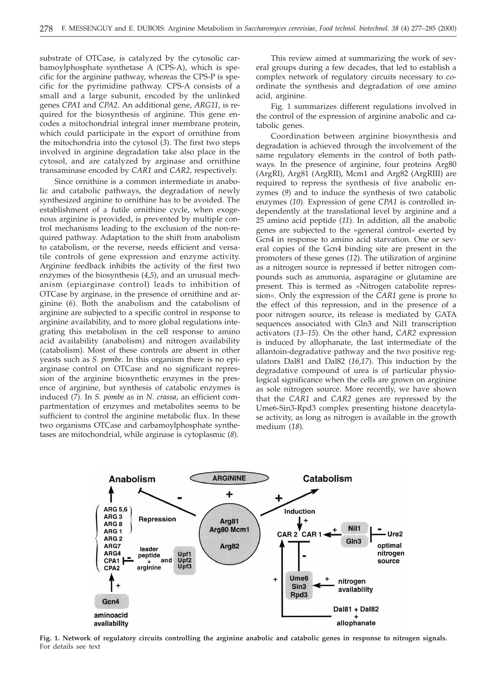substrate of OTCase, is catalyzed by the cytosolic carbamoylphosphate synthetase A (CPS-A), which is specific for the arginine pathway, whereas the CPS-P is specific for the pyrimidine pathway. CPS-A consists of a small and a large subunit, encoded by the unlinked genes *CPA1* and *CPA2*. An additional gene, *ARG11*, is required for the biosynthesis of arginine. This gene encodes a mitochondrial integral inner membrane protein, which could participate in the export of ornithine from the mitochondria into the cytosol (*3*). The first two steps involved in arginine degradation take also place in the cytosol, and are catalyzed by arginase and ornithine transaminase encoded by *CAR1* and *CAR2,* respectively.

Since ornithine is a common intermediate in anabolic and catabolic pathways, the degradation of newly synthesized arginine to ornithine has to be avoided. The establishment of a futile ornithine cycle, when exogenous arginine is provided, is prevented by multiple control mechanisms leading to the exclusion of the non-required pathway. Adaptation to the shift from anabolism to catabolism, or the reverse, needs efficient and versatile controls of gene expression and enzyme activity. Arginine feedback inhibits the activity of the first two enzymes of the biosynthesis (*4*,*5*), and an unusual mechanism (epiarginase control) leads to inhibition of OTCase by arginase, in the presence of ornithine and arginine (*6*). Both the anabolism and the catabolism of arginine are subjected to a specific control in response to arginine availability, and to more global regulations integrating this metabolism in the cell response to amino acid availability (anabolism) and nitrogen availability (catabolism). Most of these controls are absent in other yeasts such as *S. pombe*. In this organism there is no epiarginase control on OTCase and no significant repression of the arginine biosynthetic enzymes in the presence of arginine, but synthesis of catabolic enzymes is induced (*7*). In *S. pombe* as in *N. crassa*, an efficient compartmentation of enzymes and metabolites seems to be sufficient to control the arginine metabolic flux. In these two organisms OTCase and carbamoylphosphate synthetases are mitochondrial, while arginase is cytoplasmic (*8*).

This review aimed at summarizing the work of several groups during a few decades, that led to establish a complex network of regulatory circuits necessary to coordinate the synthesis and degradation of one amino acid, arginine.

Fig. 1 summarizes different regulations involved in the control of the expression of arginine anabolic and catabolic genes.

Coordination between arginine biosynthesis and degradation is achieved through the involvement of the same regulatory elements in the control of both pathways. In the presence of arginine, four proteins Arg80 (ArgRI), Arg81 (ArgRII), Mcm1 and Arg82 (ArgRIII) are required to repress the synthesis of five anabolic enzymes (*9*) and to induce the synthesis of two catabolic enzymes (*10*). Expression of gene *CPA1* is controlled independently at the translational level by arginine and a 25 amino acid peptide (*11*). In addition, all the anabolic genes are subjected to the »general control« exerted by Gcn4 in response to amino acid starvation. One or several copies of the Gcn4 binding site are present in the promoters of these genes (*12*). The utilization of arginine as a nitrogen source is repressed if better nitrogen compounds such as ammonia, asparagine or glutamine are present. This is termed as »Nitrogen catabolite repression«. Only the expression of the *CAR1* gene is prone to the effect of this repression, and in the presence of a poor nitrogen source, its release is mediated by GATA sequences associated with Gln3 and Nil1 transcription activators (*13–15*). On the other hand, *CAR2* expression is induced by allophanate, the last intermediate of the allantoin-degradative pathway and the two positive regulators Dal81 and Dal82 (*16*,*17*). This induction by the degradative compound of urea is of particular physiological significance when the cells are grown on arginine as sole nitrogen source. More recently, we have shown that the *CAR1* and *CAR2* genes are repressed by the Ume6-Sin3-Rpd3 complex presenting histone deacetylase activity, as long as nitrogen is available in the growth medium (*18*).



**Fig. 1. Network of regulatory circuits controlling the arginine anabolic and catabolic genes in response to nitrogen signals.** For details see text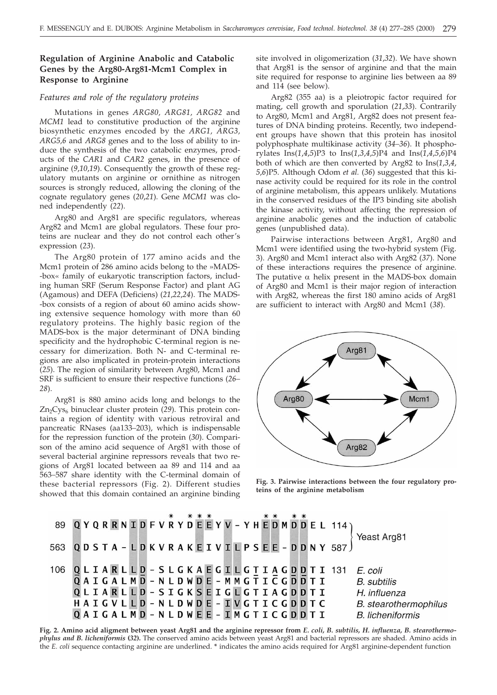## **Regulation of Arginine Anabolic and Catabolic Genes by the Arg80-Arg81-Mcm1 Complex in Response to Arginine**

### *Features and role of the regulatory proteins*

Mutations in genes *ARG80, ARG81, ARG82* and *MCM1* lead to constitutive production of the arginine biosynthetic enzymes encoded by the *ARG1, ARG3, ARG5,6* and *ARG8* genes and to the loss of ability to induce the synthesis of the two catabolic enzymes, products of the *CAR1* and *CAR2* genes, in the presence of arginine (*9*,*10*,*19*). Consequently the growth of these regulatory mutants on arginine or ornithine as nitrogen sources is strongly reduced, allowing the cloning of the cognate regulatory genes (*20*,*21*). Gene *MCM1* was cloned independently (*22*).

Arg80 and Arg81 are specific regulators, whereas Arg82 and Mcm1 are global regulators. These four proteins are nuclear and they do not control each other's expression (*23*).

The Arg80 protein of 177 amino acids and the Mcm1 protein of 286 amino acids belong to the »MADS- -box« family of eukaryotic transcription factors, including human SRF (Serum Response Factor) and plant AG (Agamous) and DEFA (Deficiens) (*21*,*22*,*24*). The MADS- -box consists of a region of about 60 amino acids showing extensive sequence homology with more than 60 regulatory proteins. The highly basic region of the MADS-box is the major determinant of DNA binding specificity and the hydrophobic C-terminal region is necessary for dimerization. Both N- and C-terminal regions are also implicated in protein-protein interactions (*25*). The region of similarity between Arg80, Mcm1 and SRF is sufficient to ensure their respective functions (*26– 28*).

Arg81 is 880 amino acids long and belongs to the Zn<sub>2</sub>Cys<sub>6</sub> binuclear cluster protein (29). This protein contains a region of identity with various retroviral and pancreatic RNases (aa133*–*203), which is indispensable for the repression function of the protein (*30*). Comparison of the amino acid sequence of Arg81 with those of several bacterial arginine repressors reveals that two regions of Arg81 located between aa 89 and 114 and aa 563*–*587 share identity with the C-terminal domain of these bacterial repressors (Fig. 2). Different studies showed that this domain contained an arginine binding

site involved in oligomerization (*31*,*32*). We have shown that Arg81 is the sensor of arginine and that the main site required for response to arginine lies between aa 89 and 114 (see below).

Arg82 (355 aa) is a pleiotropic factor required for mating, cell growth and sporulation (*21*,*33*). Contrarily to Arg80, Mcm1 and Arg81, Arg82 does not present features of DNA binding proteins. Recently, two independent groups have shown that this protein has inositol polyphosphate multikinase activity (*34–36*). It phosphorylates Ins(*1*,*4*,*5*)P3 to Ins(*1*,*3*,*4*,*5*)P4 and Ins(*1*,*4*,*5*,*6*)P4 both of which are then converted by Arg82 to Ins(*1*,*3*,*4*, *5*,*6*)P5. Although Odom *et al.* (*36*) suggested that this kinase activity could be required for its role in the control of arginine metabolism, this appears unlikely. Mutations in the conserved residues of the IP3 binding site abolish the kinase activity, without affecting the repression of arginine anabolic genes and the induction of catabolic genes (unpublished data).

Pairwise interactions between Arg81, Arg80 and Mcm1 were identified using the two-hybrid system (Fig. 3). Arg80 and Mcm1 interact also with Arg82 (*37*). None of these interactions requires the presence of arginine. The putative  $\alpha$  helix present in the MADS-box domain of Arg80 and Mcm1 is their major region of interaction with Arg82, whereas the first 180 amino acids of Arg81 are sufficient to interact with Arg80 and Mcm1 (*38*).



**Fig. 3. Pairwise interactions between the four regulatory proteins of the arginine metabolism**

|                                       |  |  |                               |  |  |  |  |  |  |  |  |  |  |                             | 89 QYQRRNIDFVRYDEEYV-YHEDMDDEL 114)      |                              |
|---------------------------------------|--|--|-------------------------------|--|--|--|--|--|--|--|--|--|--|-----------------------------|------------------------------------------|------------------------------|
|                                       |  |  |                               |  |  |  |  |  |  |  |  |  |  |                             |                                          | Yeast Arg81                  |
|                                       |  |  |                               |  |  |  |  |  |  |  |  |  |  |                             | 563 QDSTA - LDKVRAKEIVILPSEE - DDNY 587) |                              |
|                                       |  |  |                               |  |  |  |  |  |  |  |  |  |  |                             |                                          |                              |
| 106 QLIARLLD - SLGKAEGILGTIAGDDTI 131 |  |  |                               |  |  |  |  |  |  |  |  |  |  |                             |                                          | E. coli                      |
|                                       |  |  | QAIGALMD-NLDWDE-MMGTICGDDTI   |  |  |  |  |  |  |  |  |  |  |                             |                                          | B. subtilis                  |
|                                       |  |  | QLIARLLD - SIGKSEIGLGTIAGDDTI |  |  |  |  |  |  |  |  |  |  |                             |                                          | H. influenza                 |
|                                       |  |  |                               |  |  |  |  |  |  |  |  |  |  | HAIGVLLD-NLDWDE-IVGTICGDDTC |                                          | <b>B.</b> stearothermophilus |
|                                       |  |  | QAIGALMD-NLDWEE-IMGTICGDDTI   |  |  |  |  |  |  |  |  |  |  |                             |                                          | <b>B.</b> licheniformis      |

**Fig. 2. Amino acid aligment between yeast Arg81 and the arginine repressor from** *E. coli, B. subtilis, H. influenza, B. stearothermophylus and B. licheniformis* **(***32***).** The conserved amino acids between yeast Arg81 and bacterial repressors are shaded. Amino acids in the *E. coli* sequence contacting arginine are underlined. **\*** indicates the amino acids required for Arg81 arginine-dependent function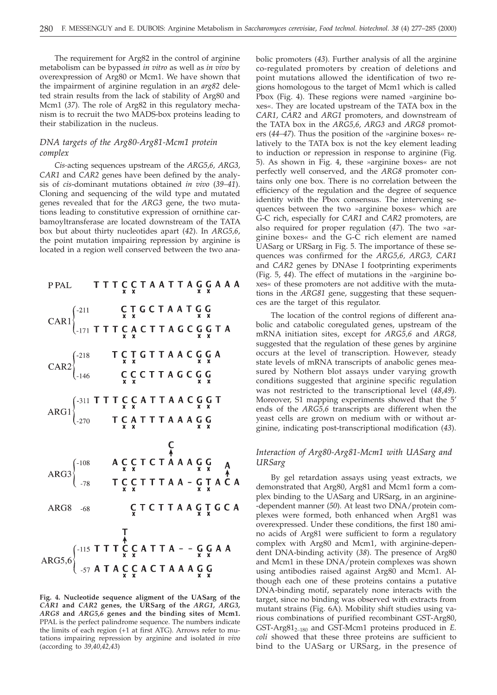The requirement for Arg82 in the control of arginine metabolism can be bypassed *in vitro* as well as *in vivo* by overexpression of Arg80 or Mcm1. We have shown that the impairment of arginine regulation in an *arg82* deleted strain results from the lack of stability of Arg80 and Mcm1 (*37*). The role of Arg82 in this regulatory mechanism is to recruit the two MADS-box proteins leading to their stabilization in the nucleus.

## *DNA targets of the Arg80-Arg81-Mcm1 protein complex*

*Cis-*acting sequences upstream of the *ARG5,6, ARG3, CAR1* and *CAR2* genes have been defined by the analysis of *cis*-dominant mutations obtained *in vivo* (*39–41*). Cloning and sequencing of the wild type and mutated genes revealed that for the *ARG3* gene, the two mutations leading to constitutive expression of ornithine carbamoyltransferase are located downstream of the TATA box but about thirty nucleotides apart (*42*). In *ARG5,6*, the point mutation impairing repression by arginine is located in a region well conserved between the two ana-

TTTCCTAATTAGGAAA P PAL CAR1  $\begin{cases} -211 & \text{C} \text{ T} \text{ G} \text{ C} \text{ T} \text{ A} \text{ A} \text{ T} \text{ G} \text{ G} \\ -171 & \text{T} \text{ T} \text{ T} \text{ G} \text{ A} \text{ C} \text{ T} \text{ T} \text{ A} \text{ G} \text{ C} \text{ G} \text{ G} \text{ T} \text{ A} \end{cases}$ CAR2  $\begin{cases} -218 & T \n\begin{array}{cc} C & T \n\end{array} & T \n\begin{array}{cc} T & T & G & T \n\end{array} & T & A & C & G & G \\
\begin{array}{cc} C & C & T & T & A & G & C & G \\
\end{array} & G & G & G & G \\
\begin{array}{cc} C & C & T & T & A & G & C & G \\
\end{array} & \n\begin{array}{cc} C & C & T & T & A & G & G & G \\
\end{array} & \n\end{cases}$ ARG1<br>  $\begin{cases}\n-311 \text{ T} \text{ T} \text{ T} \text{ C} \text{ C} \text{ A} \text{ T} \text{ T} \text{ A} \text{ A} \text{ C} \text{ G} \text{ G} \text{ T} \\
-270 \text{ T} \text{ C} \text{ A} \text{ T} \text{ T} \text{ T} \text{ A} \text{ A} \text{ A} \text{ G} \text{ G}\n\end{cases}$ **CTCTTAAGTGCA** ARG8 -68 ARG5,6<br>  $\left\{\n\begin{array}{l}\n\text{AFG5,6} \\
\text{AFG5,6}\n\end{array}\n\right\}\n\begin{array}{l}\n\text{A} \\
\text{AFG5,6}\n\end{array}\n\begin{array}{l}\n\text{A} \\
\text{B} \\
\text{C} \\
\text{D} \\
\text{A} \\
\text{C} \\
\text{C} \\
\text{A} \\
\text{C} \\
\text{D} \\
\text{A} \\
\text{A} \\
\text{A} \\
\text{A} \\
\text{A} \\
\text{B} \\
\text{C} \\
\text{D} \\
\text{A} \\
\text{A} \\
\text{A} \\
\text{B$ 

**Fig. 4. Nucleotide sequence aligment of the UASarg of the** *CAR1* **and** *CAR2* **genes, the URSarg of the** *ARG1, ARG3, ARG8* **and** *ARG5,6* **genes and the binding sites of Mcm1.** PPAL is the perfect palindrome sequence. The numbers indicate the limits of each region (+1 at first ATG). Arrows refer to mutations impairing repression by arginine and isolated *in vivo* (according to *39,40,42,43*)

bolic promoters (*43*). Further analysis of all the arginine co-regulated promoters by creation of deletions and point mutations allowed the identification of two regions homologous to the target of Mcm1 which is called Pbox (Fig. 4). These regions were named »arginine boxes«. They are located upstream of the TATA box in the *CAR1*, *CAR2* and *ARG1* promoters, and downstream of the TATA box in the *ARG5,6, ARG3* and *ARG8* promoters (*44–47*). Thus the position of the »arginine boxes« relatively to the TATA box is not the key element leading to induction or repression in response to arginine (Fig. 5). As shown in Fig. 4, these »arginine boxes« are not perfectly well conserved, and the *ARG8* promoter contains only one box. There is no correlation between the efficiency of the regulation and the degree of sequence identity with the Pbox consensus. The intervening sequences between the two »arginine boxes« which are G-C rich, especially for *CAR1* and *CAR2* promoters, are also required for proper regulation (*47*). The two »arginine boxes« and the G-C rich element are named UASarg or URSarg in Fig. 5. The importance of these sequences was confirmed for the *ARG5,6, ARG3, CAR1* and *CAR2* genes by DNAse I footprinting experiments (Fig. 5, *44*). The effect of mutations in the »arginine boxes« of these promoters are not additive with the mutations in the *ARG81* gene, suggesting that these sequences are the target of this regulator.

The location of the control regions of different anabolic and catabolic coregulated genes, upstream of the mRNA initiation sites, except for *ARG5,6* and *ARG8,* suggested that the regulation of these genes by arginine occurs at the level of transcription. However, steady state levels of mRNA transcripts of anabolic genes measured by Nothern blot assays under varying growth conditions suggested that arginine specific regulation was not restricted to the transcriptional level (*48*,*49*). Moreover, S1 mapping experiments showed that the 5' ends of the *ARG5,6* transcripts are different when the yeast cells are grown on medium with or without arginine, indicating post-transcriptional modification (*43*).

## *Interaction of Arg80-Arg81-Mcm1 with UASarg and URSarg*

By gel retardation assays using yeast extracts, we demonstrated that Arg80, Arg81 and Mcm1 form a complex binding to the UASarg and URSarg, in an arginine- -dependent manner (*50*). At least two DNA/protein complexes were formed, both enhanced when Arg81 was overexpressed. Under these conditions, the first 180 amino acids of Arg81 were sufficient to form a regulatory complex with Arg80 and Mcm1, with arginine-dependent DNA-binding activity (*38*). The presence of Arg80 and Mcm1 in these DNA/protein complexes was shown using antibodies raised against Arg80 and Mcm1. Although each one of these proteins contains a putative DNA-binding motif, separately none interacts with the target, since no binding was observed with extracts from mutant strains (Fig. 6A). Mobility shift studies using various combinations of purified recombinant GST-Arg80, GST-Arg812*–*<sup>180</sup> and GST-Mcm1 proteins produced in *E. coli* showed that these three proteins are sufficient to bind to the UASarg or URSarg, in the presence of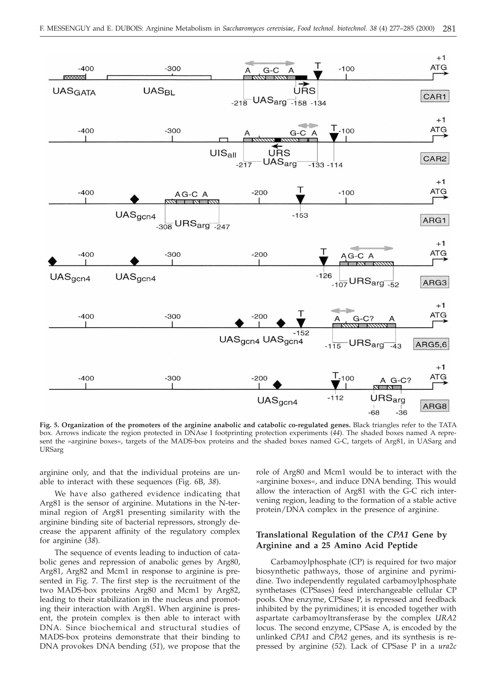

**Fig. 5. Organization of the promoters of the arginine anabolic and catabolic co-regulated genes.** Black triangles refer to the TATA box. Arrows indicate the region protected in DNAse I footprinting protection experiments (*44*). The shaded boxes named A represent the »arginine boxes«, targets of the MADS-box proteins and the shaded boxes named G-C, targets of Arg81, in UASarg and URSarg

arginine only, and that the individual proteins are unable to interact with these sequences (Fig. 6B, *38*).

We have also gathered evidence indicating that Arg81 is the sensor of arginine. Mutations in the N-terminal region of Arg81 presenting similarity with the arginine binding site of bacterial repressors, strongly decrease the apparent affinity of the regulatory complex for arginine (*38*).

The sequence of events leading to induction of catabolic genes and repression of anabolic genes by Arg80, Arg81, Arg82 and Mcm1 in response to arginine is presented in Fig. 7. The first step is the recruitment of the two MADS-box proteins Arg80 and Mcm1 by Arg82, leading to their stabilization in the nucleus and promoting their interaction with Arg81. When arginine is present, the protein complex is then able to interact with DNA. Since biochemical and structural studies of MADS-box proteins demonstrate that their binding to DNA provokes DNA bending (*51*), we propose that the

role of Arg80 and Mcm1 would be to interact with the »arginine boxes«, and induce DNA bending. This would allow the interaction of Arg81 with the G-C rich intervening region, leading to the formation of a stable active protein/DNA complex in the presence of arginine.

## **Translational Regulation of the** *CPA1* **Gene by Arginine and a 25 Amino Acid Peptide**

Carbamoylphosphate (CP) is required for two major biosynthetic pathways, those of arginine and pyrimidine. Two independently regulated carbamoylphosphate synthetases (CPSases) feed interchangeable cellular CP pools. One enzyme, CPSase P, is repressed and feedback inhibited by the pyrimidines; it is encoded together with aspartate carbamoyltransferase by the complex *URA2* locus. The second enzyme, CPSase A, is encoded by the unlinked *CPA1* and *CPA2* genes, and its synthesis is repressed by arginine (*52*). Lack of CPSase P in a *ura2c*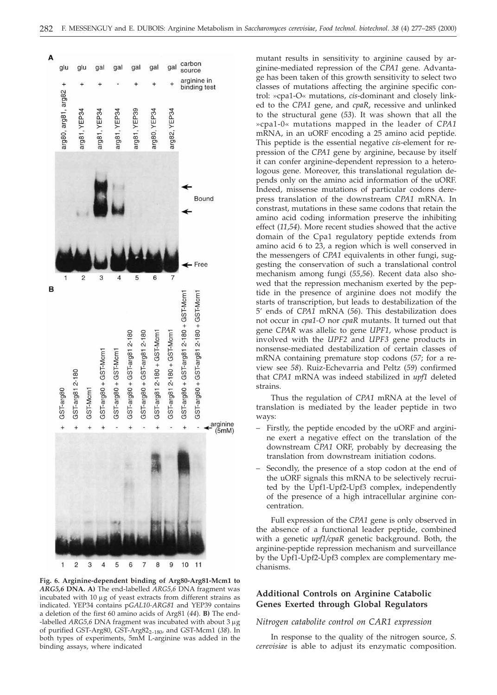



**Fig. 6. Arginine-dependent binding of Arg80-Arg81-Mcm1 to** *ARG5,6* **DNA. A)** The end-labelled *ARG5,6* DNA fragment was incubated with  $10 \ \mu g$  of yeast extracts from different strains as indicated. YEP34 contains p*GAL10-ARG81* and YEP39 contains a deletion of the first 60 amino acids of Arg81 (*44*). **B)** The end- -labelled *ARG5,6* DNA fragment was incubated with about 3 μg of purified GST-Arg80, GST-Arg822*–*180, and GST-Mcm1 (*38*). In both types of experiments, 5mM L-arginine was added in the binding assays, where indicated

mutant results in sensitivity to arginine caused by arginine-mediated repression of the *CPA1* gene. Advantage has been taken of this growth sensitivity to select two classes of mutations affecting the arginine specific control: »cpa1-O« mutations, *cis*-dominant and closely linked to the *CPA1* gene, and *cpaR*, recessive and unlinked to the structural gene (*53*). It was shown that all the »cpa1-0« mutations mapped in the leader of *CPA1* mRNA, in an uORF encoding a 25 amino acid peptide. This peptide is the essential negative *cis*-element for repression of the *CPA1* gene by arginine, because by itself it can confer arginine-dependent repression to a heterologous gene. Moreover, this translational regulation depends only on the amino acid information of the uORF. Indeed, missense mutations of particular codons derepress translation of the downstream *CPA1* mRNA. In constrast, mutations in these same codons that retain the amino acid coding information preserve the inhibiting effect (*11*,*54*). More recent studies showed that the active domain of the Cpa1 regulatory peptide extends from amino acid 6 to 23, a region which is well conserved in the messengers of *CPA1* equivalents in other fungi, suggesting the conservation of such a translational control mechanism among fungi (*55*,*56*). Recent data also showed that the repression mechanism exerted by the peptide in the presence of arginine does not modify the starts of transcription, but leads to destabilization of the 5' ends of *CPA1* mRNA (*56*). This destabilization does not occur in *cpa1-O* nor *cpaR* mutants. It turned out that gene *CPAR* was allelic to gene *UPF1*, whose product is involved with the *UPF2* and *UPF3* gene products in nonsense-mediated destabilization of certain classes of mRNA containing premature stop codons (*57*; for a review see *58*). Ruiz-Echevarria and Peltz (*59*) confirmed that *CPA1* mRNA was indeed stabilized in *upf1* deleted strains.

Thus the regulation of *CPA1* mRNA at the level of translation is mediated by the leader peptide in two ways:

- Firstly, the peptide encoded by the uORF and arginine exert a negative effect on the translation of the downstream *CPA1* ORF, probably by decreasing the translation from downstream initiation codons.
- Secondly, the presence of a stop codon at the end of the uORF signals this mRNA to be selectively recruited by the Upf1-Upf2-Upf3 complex, independently of the presence of a high intracellular arginine concentration.

Full expression of the *CPA1* gene is only observed in the absence of a functional leader peptide, combined with a genetic *upf1/cpaR* genetic background. Both, the arginine-peptide repression mechanism and surveillance by the Upf1-Upf2-Upf3 complex are complementary mechanisms.

## **Additional Controls on Arginine Catabolic Genes Exerted through Global Regulators**

#### *Nitrogen catabolite control on CAR1 expression*

In response to the quality of the nitrogen source, *S. cerevisiae* is able to adjust its enzymatic composition.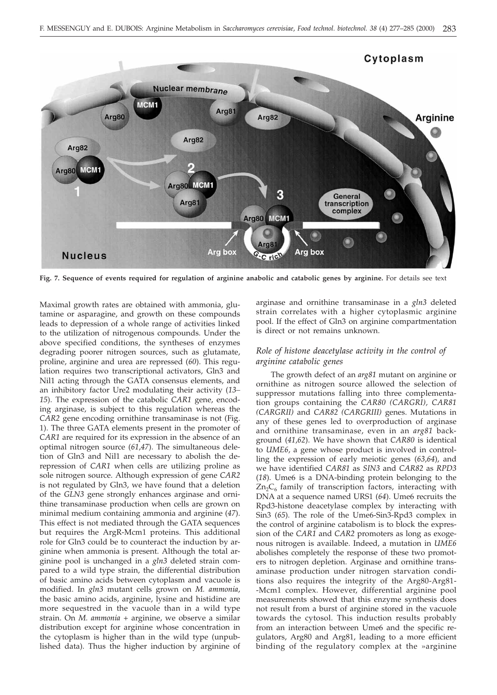

**Fig. 7. Sequence of events required for regulation of arginine anabolic and catabolic genes by arginine.** For details see text

Maximal growth rates are obtained with ammonia, glutamine or asparagine, and growth on these compounds leads to depression of a whole range of activities linked to the utilization of nitrogenous compounds. Under the above specified conditions, the syntheses of enzymes degrading poorer nitrogen sources, such as glutamate, proline, arginine and urea are repressed (*60*). This regulation requires two transcriptional activators, Gln3 and Nil1 acting through the GATA consensus elements, and an inhibitory factor Ure2 modulating their activity (*13– 15*). The expression of the catabolic *CAR1* gene, encoding arginase, is subject to this regulation whereas the *CAR2* gene encoding ornithine transaminase is not (Fig. 1). The three GATA elements present in the promoter of *CAR1* are required for its expression in the absence of an optimal nitrogen source (*61*,*47*). The simultaneous deletion of Gln3 and Nil1 are necessary to abolish the derepression of *CAR1* when cells are utilizing proline as sole nitrogen source. Although expression of gene *CAR2* is not regulated by Gln3, we have found that a deletion of the *GLN3* gene strongly enhances arginase and ornithine transaminase production when cells are grown on minimal medium containing ammonia and arginine (*47*). This effect is not mediated through the GATA sequences but requires the ArgR-Mcm1 proteins. This additional role for Gln3 could be to counteract the induction by arginine when ammonia is present. Although the total arginine pool is unchanged in a *gln3* deleted strain compared to a wild type strain, the differential distribution of basic amino acids between cytoplasm and vacuole is modified. In *gln3* mutant cells grown on *M. ammonia*, the basic amino acids, arginine, lysine and histidine are more sequestred in the vacuole than in a wild type strain. On *M. ammonia* + arginine, we observe a similar distribution except for arginine whose concentration in the cytoplasm is higher than in the wild type (unpublished data). Thus the higher induction by arginine of

arginase and ornithine transaminase in a *gln3* deleted strain correlates with a higher cytoplasmic arginine pool. If the effect of Gln3 on arginine compartmentation is direct or not remains unknown.

## *Role of histone deacetylase activity in the control of arginine catabolic genes*

The growth defect of an *arg81* mutant on arginine or ornithine as nitrogen source allowed the selection of suppressor mutations falling into three complementation groups containing the *CAR80 (CARGRI), CAR81 (CARGRII)* and *CAR82 (CARGRIII)* genes. Mutations in any of these genes led to overproduction of arginase and ornithine transaminase, even in an *arg81* background (*41*,*62*). We have shown that *CAR80* is identical to *UME6*, a gene whose product is involved in controlling the expression of early meiotic genes (*63*,*64*), and we have identified *CAR81* as *SIN3* and *CAR82* as *RPD3* (*18*). Ume6 is a DNA-binding protein belonging to the  $Zn_2C_6$  family of transcription factors, interacting with DNA at a sequence named URS1 (*64*). Ume6 recruits the Rpd3-histone deacetylase complex by interacting with Sin3 (*65*). The role of the Ume6-Sin3-Rpd3 complex in the control of arginine catabolism is to block the expression of the *CAR1* and *CAR2* promoters as long as exogenous nitrogen is available. Indeed, a mutation in *UME6* abolishes completely the response of these two promoters to nitrogen depletion. Arginase and ornithine transaminase production under nitrogen starvation conditions also requires the integrity of the Arg80-Arg81- -Mcm1 complex. However, differential arginine pool measurements showed that this enzyme synthesis does not result from a burst of arginine stored in the vacuole towards the cytosol. This induction results probably from an interaction between Ume6 and the specific regulators, Arg80 and Arg81, leading to a more efficient binding of the regulatory complex at the »arginine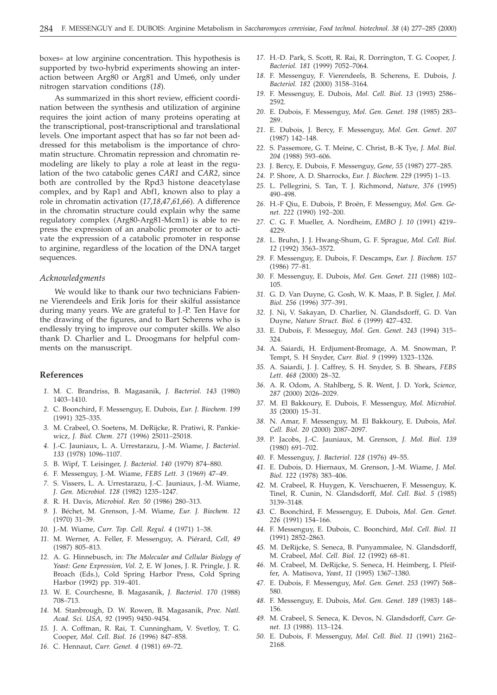boxes« at low arginine concentration. This hypothesis is supported by two-hybrid experiments showing an interaction between Arg80 or Arg81 and Ume6, only under nitrogen starvation conditions (*18*).

As summarized in this short review, efficient coordination between the synthesis and utilization of arginine requires the joint action of many proteins operating at the transcriptional, post-transcriptional and translational levels. One important aspect that has so far not been addressed for this metabolism is the importance of chromatin structure. Chromatin repression and chromatin remodeling are likely to play a role at least in the regulation of the two catabolic genes *CAR1* and *CAR2*, since both are controlled by the Rpd3 histone deacetylase complex, and by Rap1 and Abf1, known also to play a role in chromatin activation (*17,18*,*47*,*61*,*66*). A difference in the chromatin structure could explain why the same regulatory complex (Arg80-Arg81-Mcm1) is able to repress the expression of an anabolic promoter or to activate the expression of a catabolic promoter in response to arginine, regardless of the location of the DNA target sequences.

#### *Acknowledgments*

We would like to thank our two technicians Fabienne Vierendeels and Erik Joris for their skilful assistance during many years. We are grateful to J.-P. Ten Have for the drawing of the figures, and to Bart Scherens who is endlessly trying to improve our computer skills. We also thank D. Charlier and L. Droogmans for helpful comments on the manuscript.

#### **References**

- *1.* M. C. Brandriss, B. Magasanik, *J. Bacteriol*. *143* (1980) 1403*–*1410.
- *2.* C. Boonchird, F. Messenguy, E. Dubois, *Eur. J. Biochem*. *199* (1991) 325*–*335.
- *3.* M. Crabeel, O. Soetens, M. DeRijcke, R. Pratiwi, R. Pankiewicz, *J. Biol. Chem. 271* (1996) 25011*–*25018.
- *4.* J.-C. Jauniaux, L. A. Urrestarazu, J.-M. Wiame, *J. Bacteriol*. *133* (1978) 1096*–*1107.
- *5.* B. Wipf, T. Leisinger, *J. Bacteriol*. *140* (1979) 874*–*880.
- *6.* F. Messenguy, J.-M. Wiame, *FEBS Lett. 3* (1969) 47*–*49.
- *7.* S. Vissers, L. A. Urrestarazu, J.-C. Jauniaux, J.-M. Wiame, *J. Gen. Microbiol. 128* (1982) 1235*–*1247.
- *8.* R. H. Davis, *Microbiol. Rev. 50* (1986) 280*–*313.
- *9.* J. Béchet, M. Grenson, J.-M. Wiame, *Eur. J. Biochem. 12* (1970) 31*–*39.
- *10.* J.-M. Wiame, *Curr. Top. Cell. Regul. 4* (1971) 1*–*38.
- *11.* M. Werner, A. Feller, F. Messenguy, A. Piérard, *Cell, 49* (1987) 805*–*813.
- *12.* A. G. Hinnebusch, in: *The Molecular and Cellular Biology of Yeast: Gene Expression, Vol. 2,* E. W Jones, J. R. Pringle, J. R. Broach (Eds.), Cold Spring Harbor Press, Cold Spring Harbor (1992) pp. 319*–*401.
- *13.* W. E. Courchesne, B. Magasanik, *J. Bacteriol. 170* (1988) 708*–*713.
- *14.* M. Stanbrough, D. W. Rowen, B. Magasanik, *Proc. Natl. Acad. Sci. USA, 92* (1995) 9450*–*9454.
- *15.* J. A. Coffman, R. Rai, T. Cunningham, V. Svetloy, T. G. Cooper, *Mol. Cell. Biol. 16* (1996) 847*–*858.
- *16.* C. Hennaut, *Curr. Genet. 4* (1981) 69*–*72.
- *17.* H.-D. Park, S. Scott, R. Rai, R. Dorrington, T. G. Cooper, *J. Bacteriol. 181* (1999) 7052*–*7064.
- *18.* F. Messenguy, F. Vierendeels, B. Scherens, E. Dubois, *J. Bacteriol. 182* (2000) 3158*–*3164.
- *19.* F. Messenguy, E. Dubois, *Mol. Cell. Biol. 13* (1993) 2586*–* 2592.
- *20.* E. Dubois, F. Messenguy, *Mol. Gen. Genet. 198* (1985) 283*–* 289.
- *21.* E. Dubois, J. Bercy, F. Messenguy, *Mol. Gen. Genet. 207* (1987) 142*–*148.
- *22.* S. Passemore, G. T. Meine, C. Christ, B.-K Tye, *J. Mol. Biol. 204* (1988) 593*–*606.
- *23.* J. Bercy, E. Dubois, F. Messenguy, *Gene, 55* (1987) 277*–*285.
- *24.* P. Shore, A. D. Sharrocks, *Eur. J. Biochem. 229* (1995) 1*–*13.
- *25.* L. Pellegrini, S. Tan, T. J. Richmond, *Nature, 376* (1995) 490*–*498.
- *26.* H.-F Qiu, E. Dubois, P. Broën, F. Messenguy, *Mol. Gen. Genet. 222* (1990) 192*–*200.
- *27.* C. G. F. Mueller, A. Nordheim, *EMBO J. 10* (1991) 4219*–* 4229.
- *28.* L. Bruhn, J. J. Hwang-Shum, G. F. Sprague, *Mol. Cell. Biol. 12* (1992) 3563*–*3572.
- *29.* F. Messenguy, E. Dubois, F. Descamps, *Eur. J. Biochem. 157* (1986) 77*–*81.
- *30.* F. Messenguy, E. Dubois, *Mol. Gen. Genet. 211* (1988) 102*–* 105.
- *31.* G. D. Van Duyne, G. Gosh, W. K. Maas, P. B. Sigler, *J. Mol. Biol. 256* (1996) 377*–*391.
- *32.* J. Ni, V. Sakayan, D. Charlier, N. Glandsdorff, G. D. Van Duyne, *Nature Struct. Biol. 6* (1999) 427*–*432.
- *33.* E. Dubois, F. Messeguy, *Mol. Gen. Genet. 243* (1994) 315*–* 324.
- *34.* A. Saiardi, H. Erdjument-Bromage, A. M. Snowman, P. Tempt, S. H Snyder, *Curr. Biol. 9* (1999) 1323*–*1326.
- *35.* A. Saiardi, J. J. Caffrey, S. H. Snyder, S. B. Shears, *FEBS Lett. 468* (2000) 28*–*32.
- *36.* A. R. Odom, A. Stahlberg, S. R. Went, J. D. York, *Science, 287* (2000) 2026*–*2029.
- *37.* M. El Bakkoury, E. Dubois, F. Messenguy, *Mol. Microbiol. 35* (2000) 15*–*31.
- *38.* N. Amar, F. Messenguy, M. El Bakkoury, E. Dubois, *Mol*. *Cell. Biol. 20* (2000) 2087*–*2097.
- *39.* P. Jacobs, J.-C. Jauniaux, M. Grenson, *J. Mol. Biol. 139* (1980) 691*–*702.
- *40.* F. Messenguy, *J. Bacteriol*. *128* (1976) 49*–*55.
- *41.* E. Dubois, D. Hiernaux, M. Grenson, J.-M. Wiame, *J. Mol. Biol. 122* (1978) 383*–*406.
- *42.* M. Crabeel, R. Huygen, K. Verschueren, F. Messenguy, K. Tinel, R. Cunin, N. Glandsdorff, *Mol. Cell. Biol. 5* (1985) 3139*–*3148.
- *43.* C. Boonchird, F. Messenguy, E. Dubois, *Mol. Gen. Genet. 226* (1991) 154*–*166.
- *44.* F. Messenguy, E. Dubois, C. Boonchird, *Mol. Cell. Biol. 11* (1991) 2852*–*2863.
- *45.* M. DeRijcke, S. Seneca, B. Punyammalee, N. Glandsdorff, M. Crabeel, *Mol. Cell. Biol. 12* (1992) 68*–*81.
- *46.* M. Crabeel, M. DeRijcke, S. Seneca, H. Heimberg, I. Pfeiffer, A. Matisova, *Yeast, 11* (1995) 1367*–*1380.
- *47.* E. Dubois, F. Messenguy, *Mol. Gen. Genet. 253* (1997) 568*–* 580.
- *48.* F. Messenguy, E. Dubois, *Mol. Gen. Genet. 189* (1983) 148*–* 156.
- *49.* M. Crabeel, S. Seneca, K. Devos, N. Glandsdorff, *Curr. Genet. 13* (1988). 113*–*124.
- *50.* E. Dubois, F. Messenguy, *Mol. Cell. Biol. 11* (1991) 2162*–* 2168.